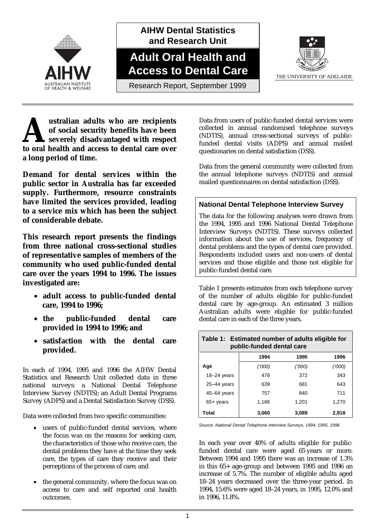

**AIHW Dental Statistics and Research Unit**

**Adult Oral Health and Access to Dental Care**



THE UNIVERSITY OF ADELAIDE

**ustralian adults who are recipients of social security benefits have been severely disadvantaged with respect dependence 1 and access to dental care over**<br> **A** severely disadvantaged with respect to oral health and access to dental care over **a long period of time.**

**Demand for dental services within the public sector in Australia has far exceeded supply. Furthermore, resource constraints have limited the services provided, leading to a service mix which has been the subject of considerable debate.**

**This research report presents the findings from three national cross-sectional studies of representative samples of members of the community who used public-funded dental care over the years 1994 to 1996. The issues investigated are:**

- **adult access to public-funded dental care, 1994 to 1996;**
- **the public-funded dental care provided in 1994 to 1996; and**
- **satisfaction with the dental care provided.**

In each of 1994, 1995 and 1996 the AIHW Dental Statistics and Research Unit collected data in three national surveys: a National Dental Telephone Interview Survey (NDTIS); an Adult Dental Programs Survey (ADPS) and a Dental Satisfaction Survey (DSS).

Data were collected from two specific communities:

- users of public-funded dental services, where the focus was on the reasons for seeking care, the characteristics of those who receive care, the dental problems they have at the time they seek care, the types of care they receive and their perceptions of the process of care; and
- the general community, where the focus was on access to care and self reported oral health outcomes.

Data from users of public-funded dental services were collected in annual randomised telephone surveys (NDTIS), annual cross-sectional surveys of publicfunded dental visits (ADPS) and annual mailed questionaries on dental satisfaction (DSS).

Data from the general community were collected from the annual telephone surveys (NDTIS) and annual mailed questionnaires on dental satisfaction (DSS).

#### **National Dental Telephone Interview Survey**

The data for the following analyses were drawn from the 1994, 1995 and 1996 National Dental Telephone Interview Surveys (NDTIS). These surveys collected information about the use of services, frequency of dental problems and the types of dental care provided. Respondents included users and non-users of dental services and those eligible and those not eligible for public-funded dental care.

Table 1 presents estimates from each telephone survey of the number of adults eligible for public-funded dental care by age-group. An estimated 3 million Australian adults were eligible for public-funded dental care in each of the three years.

| Table 1: Estimated number of adults eligible for<br>public-funded dental care |        |        |        |  |  |
|-------------------------------------------------------------------------------|--------|--------|--------|--|--|
|                                                                               | 1994   | 1995   | 1996   |  |  |
| Age                                                                           | ('000) | ('000) | ('000) |  |  |
| $18 - 24$ years                                                               | 478    | 372    | 343    |  |  |
| $25 - 44$ years                                                               | 639    | 681    | 643    |  |  |
| 45-64 years                                                                   | 757    | 840    | 711    |  |  |
| $65+$ years                                                                   | 1,186  | 1,201  | 1,270  |  |  |
| Total                                                                         | 3.060  | 3,089  | 2.918  |  |  |

*Source: National Dental Telephone Interview Surveys, 1994, 1995, 1996*

In each year over 40% of adults eligible for publicfunded dental care were aged 65 years or more. Between 1994 and 1995 there was an increase of 1.3% in this 65+ age-group and between 1995 and 1996 an increase of 5.7%. The number of eligible adults aged 18–24 years decreased over the three-year period. In 1994, 15.6% were aged 18–24 years, in 1995, 12.0% and in 1996, 11.8%.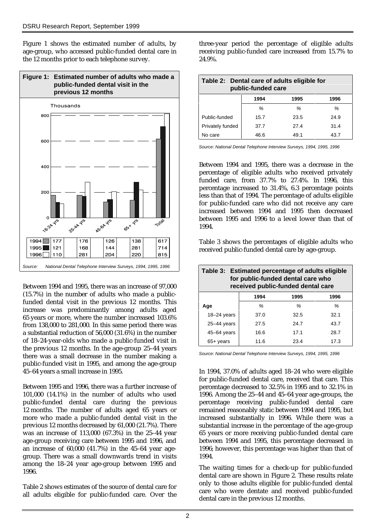Figure 1 shows the estimated number of adults, by age-group, who accessed public-funded dental care in the 12 months prior to each telephone survey.



Between 1994 and 1995, there was an increase of 97,000 (15.7%) in the number of adults who made a publicfunded dental visit in the previous 12 months. This increase was predominantly among adults aged 65 years or more, where the number increased 103.6% from 138,000 to 281,000. In this same period there was a substantial reduction of 56,000 (31.6%) in the number of 18–24-year-olds who made a public-funded visit in the previous 12 months. In the age-group 25–44 years there was a small decrease in the number making a public-funded visit in 1995, and among the age-group 45–64 years a small increase in 1995.

Between 1995 and 1996, there was a further increase of 101,000 (14.1%) in the number of adults who used public-funded dental care during the previous 12 months. The number of adults aged 65 years or more who made a public-funded dental visit in the previous 12 months decreased by 61,000 (21.7%). There was an increase of 113,000 (67.3%) in the 25–44 year age-group receiving care between 1995 and 1996, and an increase of 60,000 (41.7%) in the 45–64 year agegroup. There was a small downwards trend in visits among the 18–24 year age-group between 1995 and 1996.

Table 2 shows estimates of the source of dental care for all adults eligible for public-funded care. Over the three-year period the percentage of eligible adults receiving public-funded care increased from 15.7% to 24.9%.

| Table 2: Dental care of adults eligible for<br>public-funded care |      |      |      |  |  |
|-------------------------------------------------------------------|------|------|------|--|--|
|                                                                   | 1994 | 1995 | 1996 |  |  |
|                                                                   | ℅    | ℅    | ℅    |  |  |
| Public-funded                                                     | 15.7 | 23.5 | 24.9 |  |  |
| Privately funded                                                  | 37.7 | 27.4 | 31.4 |  |  |
| No care                                                           | 46.6 | 49.1 | 43.7 |  |  |

*Source: National Dental Telephone Interview Surveys, 1994, 1995, 1996*

Between 1994 and 1995, there was a decrease in the percentage of eligible adults who received privately funded care, from 37.7% to 27.4%. In 1996, this percentage increased to 31.4%, 6.3 percentage points less than that of 1994. The percentage of adults eligible for public-funded care who did not receive any care increased between 1994 and 1995 then decreased between 1995 and 1996 to a level lower than that of 1994.

Table 3 shows the percentages of eligible adults who received public-funded dental care by age-group.

| Table 3: Estimated percentage of adults eligible<br>for public-funded dental care who<br>received public-funded dental care |      |      |      |  |  |
|-----------------------------------------------------------------------------------------------------------------------------|------|------|------|--|--|
|                                                                                                                             | 1994 | 1995 | 1996 |  |  |
| Age                                                                                                                         | %    | %    | %    |  |  |
| $18 - 24$ years                                                                                                             | 37.0 | 32.5 | 32.1 |  |  |
| $25 - 44$ years                                                                                                             | 27.5 | 24.7 | 43.7 |  |  |
| 45-64 years                                                                                                                 | 16.6 | 17.1 | 28.7 |  |  |
| $65+$ years                                                                                                                 | 11.6 | 23.4 | 17.3 |  |  |

*Source: National Dental Telephone Interview Surveys, 1994, 1995, 1996*

In 1994, 37.0% of adults aged 18–24 who were eligible for public-funded dental care, received that care. This percentage decreased to 32.5% in 1995 and to 32.1% in 1996. Among the 25–44 and 45–64 year age-groups, the percentage receiving public-funded dental care remained reasonably static between 1994 and 1995, but increased substantially in 1996. While there was a substantial increase in the percentage of the age-group 65 years or more receiving public-funded dental care between 1994 and 1995, this percentage decreased in 1996; however, this percentage was higher than that of 1994.

The waiting times for a check-up for public-funded dental care are shown in Figure 2. These results relate only to those adults eligible for public-funded dental care who were dentate and received public-funded dental care in the previous 12 months.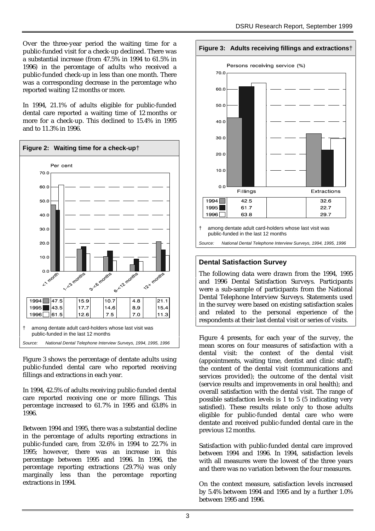Over the three-year period the waiting time for a public-funded visit for a check-up declined. There was a substantial increase (from 47.5% in 1994 to 61.5% in 1996) in the percentage of adults who received a public-funded check-up in less than one month. There was a corresponding decrease in the percentage who reported waiting 12 months or more.

In 1994, 21.1% of adults eligible for public-funded dental care reported a waiting time of 12 months or more for a check-up. This declined to 15.4% in 1995 and to 11.3% in 1996.



Figure 3 shows the percentage of dentate adults using public-funded dental care who reported receiving fillings and extractions in each year.

In 1994, 42.5% of adults receiving public-funded dental care reported receiving one or more fillings. This percentage increased to 61.7% in 1995 and 63.8% in 1996.

Between 1994 and 1995, there was a substantial decline in the percentage of adults reporting extractions in public-funded care, from 32.6% in 1994 to 22.7% in 1995; however, there was an increase in this percentage between 1995 and 1996. In 1996, the percentage reporting extractions (29.7%) was only marginally less than the percentage reporting extractions in 1994.

#### **Figure 3: Adults receiving fillings and extractions**†



*Source: National Dental Telephone Interview Surveys, 1994, 1995, 1996*

### **Dental Satisfaction Survey**

The following data were drawn from the 1994, 1995 and 1996 Dental Satisfaction Surveys. Participants were a sub-sample of participants from the National Dental Telephone Interview Surveys. Statements used in the survey were based on existing satisfaction scales and related to the personal experience of the respondents at their last dental visit or series of visits.

Figure 4 presents, for each year of the survey, the mean scores on four measures of satisfaction with a dental visit: the context of the dental visit (appointments, waiting time, dentist and clinic staff); the content of the dental visit (communications and services provided); the outcome of the dental visit (service results and improvements in oral health); and overall satisfaction with the dental visit. The range of possible satisfaction levels is 1 to 5 (5 indicating very satisfied). These results relate only to those adults eligible for public-funded dental care who were dentate and received public-funded dental care in the previous 12 months.

Satisfaction with public-funded dental care improved between 1994 and 1996. In 1994, satisfaction levels with all measures were the lowest of the three years and there was no variation between the four measures.

On the context measure, satisfaction levels increased by 5.4% between 1994 and 1995 and by a further 1.0% between 1995 and 1996.